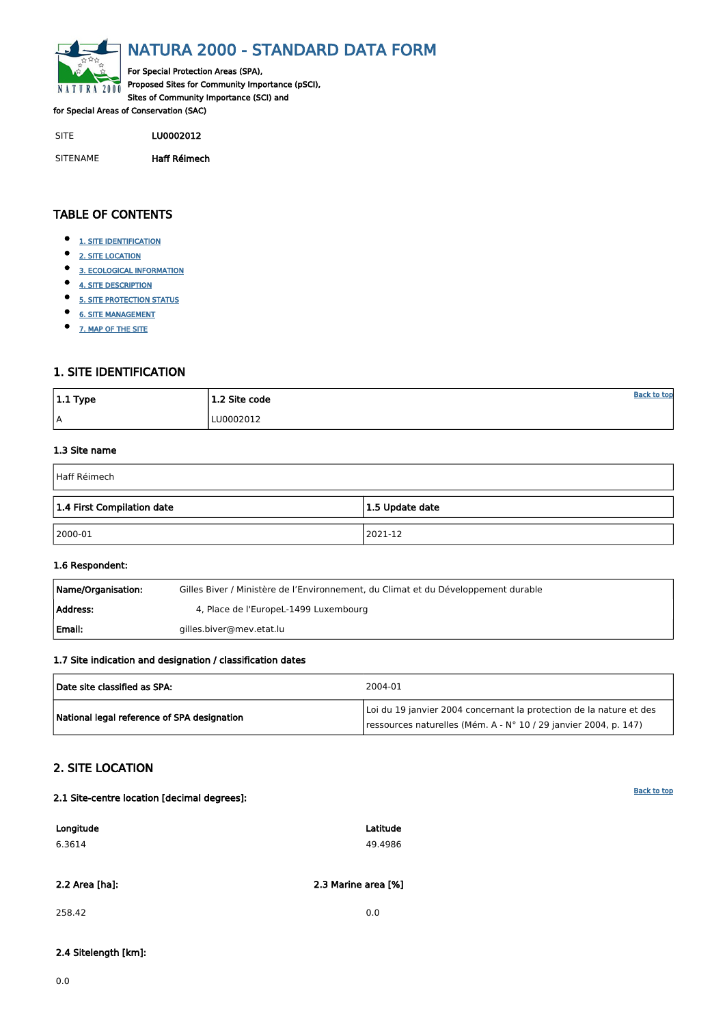[Back to top](#page-0-0)

<span id="page-0-0"></span>

# NATURA 2000 - STANDARD DATA FORM

For Special Protection Areas (SPA), Proposed Sites for Community Importance (pSCI), Sites of Community Importance (SCI) and

for Special Areas of Conservation (SAC)

- $\bullet$ [1. SITE IDENTIFICATION](#page-0-1)
- $\bullet$ [2. SITE LOCATION](#page-0-2)
- $\bullet$ [3. ECOLOGICAL INFORMATION](#page-1-0)
- $\bullet$ [4. SITE DESCRIPTION](#page-4-0)
- $\bullet$ [5. SITE PROTECTION STATUS](#page-5-0)
- $\bullet$ [6. SITE MANAGEMENT](#page-6-0)
- $\bullet$ [7. MAP OF THE SITE](#page-6-1)

SITE LU0002012

SITENAME Haff Réimech

| $ 1.1$ Type | 1.2 Site code | <u>Back to top</u> |
|-------------|---------------|--------------------|
| A           | LU0002012     |                    |

## TABLE OF CONTENTS

| Name/Organisation: | Gilles Biver / Ministère de l'Environnement, du Climat et du Développement durable |
|--------------------|------------------------------------------------------------------------------------|
| Address:           | 4, Place de l'EuropeL-1499 Luxembourg                                              |
| l Email:           | gilles.biver@mev.etat.lu                                                           |

## <span id="page-0-1"></span>1. SITE IDENTIFICATION

#### 1.3 Site name

| Haff Réimech               |                 |  |  |  |  |  |  |  |  |
|----------------------------|-----------------|--|--|--|--|--|--|--|--|
| 1.4 First Compilation date | 1.5 Update date |  |  |  |  |  |  |  |  |
| $ 2000-01$                 | 2021-12         |  |  |  |  |  |  |  |  |

#### 1.6 Respondent:

### 1.7 Site indication and designation / classification dates

| Date site classified as SPA:                | 2004-01                                                                                                                                 |
|---------------------------------------------|-----------------------------------------------------------------------------------------------------------------------------------------|
| National legal reference of SPA designation | Loi du 19 janvier 2004 concernant la protection de la nature et des<br>ressources naturelles (Mém. A - N° 10 / 29 janvier 2004, p. 147) |

## <span id="page-0-2"></span>2. SITE LOCATION

#### 2.1 Site-centre location [decimal degrees]:

| Longitude | Latitude |
|-----------|----------|
| 6.3614    | 49.4986  |

2.2 Area [ha]: 2.3 Marine area [%]

258.42 0.0

2.4 Sitelength [km]:

0.0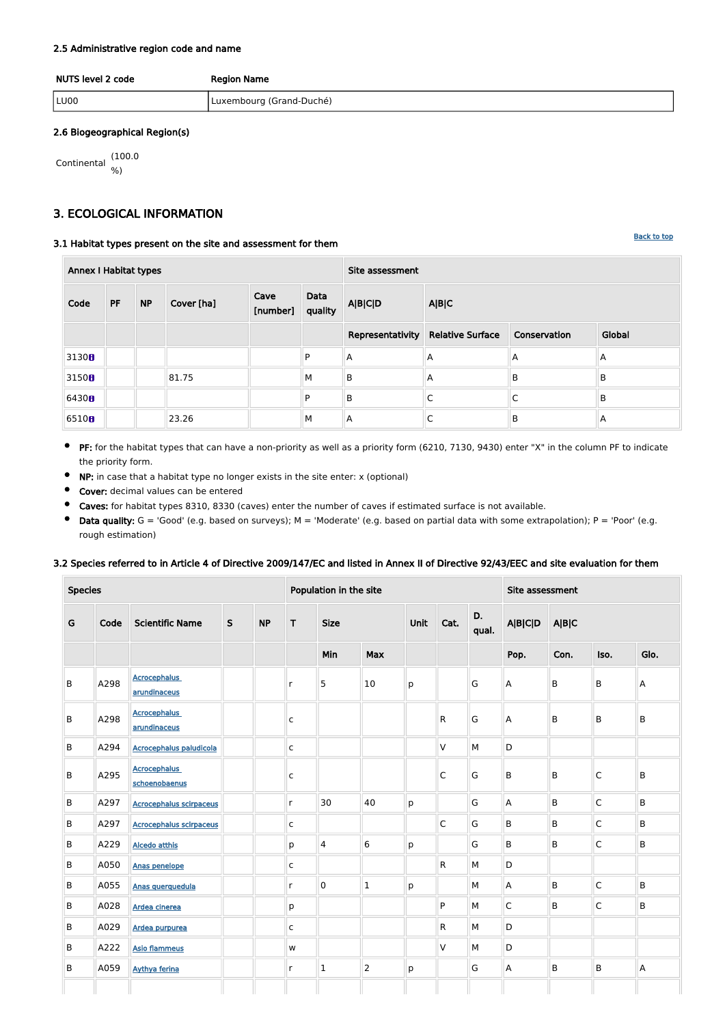#### [Back to top](#page-0-0)

#### 2.5 Administrative region code and name

| NUTS level 2 code | <b>Region Name</b>       |  |  |  |  |  |  |
|-------------------|--------------------------|--|--|--|--|--|--|
| LU00              | Luxembourg (Grand-Duché) |  |  |  |  |  |  |

#### 2.6 Biogeographical Region(s)

$$
\begin{array}{cc}\n\text{Continental} & (100.0) \\
\% & \end{array}
$$

## <span id="page-1-0"></span>3. ECOLOGICAL INFORMATION

#### 3.1 Habitat types present on the site and assessment for them

| <b>Annex I Habitat types</b> |    |           |            |                  |                 | Site assessment  |                                         |   |        |  |  |  |
|------------------------------|----|-----------|------------|------------------|-----------------|------------------|-----------------------------------------|---|--------|--|--|--|
| Code                         | PF | <b>NP</b> | Cover [ha] | Cave<br>[number] | Data<br>quality | <b>A B C D</b>   | A B C                                   |   |        |  |  |  |
|                              |    |           |            |                  |                 | Representativity | <b>Relative Surface</b><br>Conservation |   | Global |  |  |  |
| 3130 <sub>B</sub>            |    |           |            |                  | D               | A                | A                                       | A | A      |  |  |  |
| 3150B                        |    |           | 81.75      |                  | M               | B                | A                                       | B | B      |  |  |  |
| 6430H                        |    |           |            |                  | D               | $\mathsf B$      |                                         | C | B      |  |  |  |
| 6510 <sub>0</sub>            |    |           | 23.26      |                  | M               | A                |                                         | B | A      |  |  |  |

- PF: for the habitat types that can have a non-priority as well as a priority form (6210, 7130, 9430) enter "X" in the column PF to indicate  $\bullet$ the priority form.
- NP: in case that a habitat type no longer exists in the site enter: x (optional)  $\bullet$
- $\bullet$ Cover: decimal values can be entered
- $\bullet$ Caves: for habitat types 8310, 8330 (caves) enter the number of caves if estimated surface is not available.
- $\bullet$ Data quality:  $G = 'Good'$  (e.g. based on surveys);  $M = 'Modern'$  (e.g. based on partial data with some extrapolation);  $P = 'Poor'$  (e.g. rough estimation)

#### 3.2 Species referred to in Article 4 of Directive 2009/147/EC and listed in Annex II of Directive 92/43/EEC and site evaluation for them

| <b>Species</b> |      |                                      |             | Population in the site |              |                     |                 |      |                         | Site assessment |                           |       |                         |         |
|----------------|------|--------------------------------------|-------------|------------------------|--------------|---------------------|-----------------|------|-------------------------|-----------------|---------------------------|-------|-------------------------|---------|
| G              | Code | <b>Scientific Name</b>               | $\mathsf S$ | <b>NP</b>              | T            | <b>Size</b>         |                 | Unit | Cat.                    | D.<br>qual.     | <b>A B C D</b>            | A B C |                         |         |
|                |      |                                      |             |                        |              | Min                 | Max             |      |                         |                 | Pop.                      | Con.  | Iso.                    | Glo.    |
| B              | A298 | <b>Acrocephalus</b><br>arundinaceus  |             |                        | $\mathsf{r}$ | 5                   | 10              | p    |                         | G               | A                         | B     | B                       | A       |
| B              | A298 | <b>Acrocephalus</b><br>arundinaceus  |             |                        | $\mathsf{C}$ |                     |                 |      | $\mathsf{R}$            | G               | $\boldsymbol{\mathsf{A}}$ | B     | B                       | $\sf B$ |
| B              | A294 | <b>Acrocephalus paludicola</b>       |             |                        | $\mathsf{C}$ |                     |                 |      | V                       | M               | D                         |       |                         |         |
| B              | A295 | <b>Acrocephalus</b><br>schoenobaenus |             |                        | $\mathsf{C}$ |                     |                 |      | $\overline{\mathsf{C}}$ | G               | $\overline{B}$            | B     | $\overline{\mathsf{C}}$ | $\sf B$ |
| B              | A297 | <b>Acrocephalus scirpaceus</b>       |             |                        | $\mathsf{r}$ | 30                  | 40              | p    |                         | G               | A                         | B     | $\mathsf{C}$            | B       |
| B              | A297 | <b>Acrocephalus scirpaceus</b>       |             |                        | $\mathsf{C}$ |                     |                 |      | $\overline{\mathsf{C}}$ | G               | $\sf B$                   | B     | $\overline{C}$          | B       |
| B              | A229 | <b>Alcedo atthis</b>                 |             |                        | p            | $\overline{4}$      | $6\phantom{1}6$ | p    |                         | G               | B                         | B     | $\mathsf C$             | $\sf B$ |
| B              | A050 | Anas penelope                        |             |                        | $\mathsf{C}$ |                     |                 |      | $\mathsf{R}$            | M               | D                         |       |                         |         |
| B              | A055 | Anas querquedula                     |             |                        | $\mathsf{r}$ | $\mathsf{O}\xspace$ | $\mathbf 1$     | p    |                         | M               | $\overline{A}$            | B     | $\overline{C}$          | $\sf B$ |
| B              | A028 | Ardea cinerea                        |             |                        | p            |                     |                 |      | P                       | M               | $\mathsf C$               | B     | $\mathsf{C}$            | $\sf B$ |
| B              | A029 | Ardea purpurea                       |             |                        | $\mathsf{C}$ |                     |                 |      | R                       | M               | D                         |       |                         |         |
| B              | A222 | <b>Asio flammeus</b>                 |             |                        | W            |                     |                 |      | $\vee$                  | M               | D                         |       |                         |         |
| B              | A059 | <b>Aythya ferina</b>                 |             |                        | $\mathsf{r}$ | $\mathbf 1$         | $ 2\rangle$     | p    |                         | G               | A                         | B     | B                       | A       |
|                |      |                                      |             |                        |              |                     |                 |      |                         |                 |                           |       |                         |         |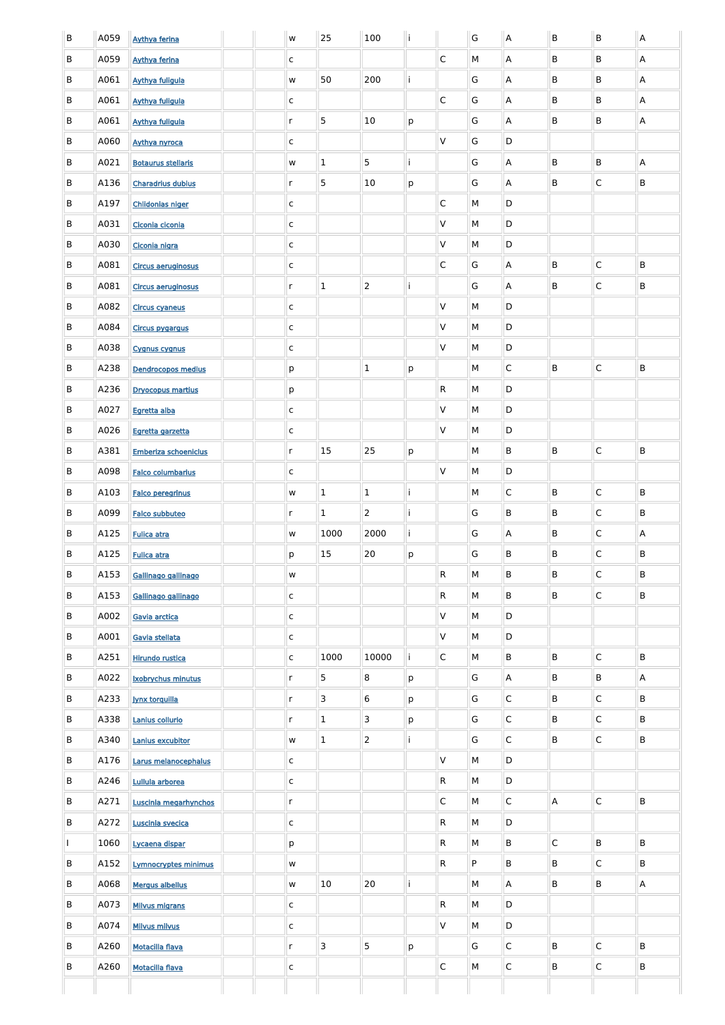| B | A059 | <b>Aythya ferina</b>        |  | w            | 25             | 100              |   |                         | G | $\sf A$                   | B           | B            | $\boldsymbol{\mathsf{A}}$ |
|---|------|-----------------------------|--|--------------|----------------|------------------|---|-------------------------|---|---------------------------|-------------|--------------|---------------------------|
| B | A059 | <b>Aythya ferina</b>        |  | C            |                |                  |   | $\overline{C}$          | M | A                         | B           | B            | A                         |
| B | A061 | <b>Aythya fuligula</b>      |  | W            | 50             | 200              |   |                         | G | A                         | B           | B            | A                         |
| B | A061 | <b>Aythya fuligula</b>      |  | $\mathsf{C}$ |                |                  |   | $\overline{C}$          | G | A                         | B           | B            | A                         |
| B | A061 | <b>Aythya fuligula</b>      |  | $r_{\rm}$    | 5              | 10               | p |                         | G | A                         | B           | B            | A                         |
| B | A060 | <b>Aythya nyroca</b>        |  | C            |                |                  |   | $\vee$                  | G | D                         |             |              |                           |
| B | A021 | <b>Botaurus stellaris</b>   |  | W            | $\mathbf 1$    | 5                |   |                         | G | A                         | B           | B            | A                         |
| B | A136 | <b>Charadrius dubius</b>    |  | $\mathsf{r}$ | 5              | 10               | р |                         | G | Α                         | B           | $\mathsf{C}$ | B                         |
| B | A197 | <b>Chlidonias niger</b>     |  | $\mathsf{C}$ |                |                  |   | $\overline{\mathsf{C}}$ | M | D                         |             |              |                           |
| B | A031 | Ciconia ciconia             |  | $\mathsf{C}$ |                |                  |   | V                       | M | D                         |             |              |                           |
| B | A030 | Ciconia nigra               |  | $\mathsf{C}$ |                |                  |   | $\vee$                  | M | D                         |             |              |                           |
| B | A081 | Circus aeruginosus          |  | $\mathsf{C}$ |                |                  |   | $\overline{C}$          | G | A                         | B           | $\mathsf{C}$ | B                         |
| B | A081 | Circus aeruginosus          |  | $r_{\rm}$    | $\mathbf{1}$   | $\overline{2}$   |   |                         | G | Α                         | B           | C            | B                         |
| B | A082 | <b>Circus cyaneus</b>       |  | C            |                |                  |   | $\vee$                  | M | D                         |             |              |                           |
| B | A084 | <b>Circus pygargus</b>      |  | $\mathsf{C}$ |                |                  |   | V                       | M | D                         |             |              |                           |
| B | A038 | <b>Cygnus cygnus</b>        |  | C            |                |                  |   | $\vee$                  | M | D                         |             |              |                           |
| B | A238 | <b>Dendrocopos medius</b>   |  | p            |                | $\mathbf{1}$     | р |                         | М | C                         | B           | $\mathsf{C}$ | B                         |
| B | A236 | <b>Dryocopus martius</b>    |  | p            |                |                  |   | $\overline{R}$          | М | D                         |             |              |                           |
| B | A027 | Egretta alba                |  | $\mathsf{C}$ |                |                  |   | V                       | M | D                         |             |              |                           |
| B | A026 | Egretta garzetta            |  | $\mathsf{C}$ |                |                  |   | $\vee$                  | M | D                         |             |              |                           |
| B | A381 | <b>Emberiza schoeniclus</b> |  | $r_{\rm}$    | 15             | 25               | p |                         | М | B                         | B           | $\mathsf C$  | B                         |
| B | A098 | <b>Falco columbarius</b>    |  | $\mathsf{C}$ |                |                  |   | $\vee$                  | M | D                         |             |              |                           |
| B | A103 | <b>Falco peregrinus</b>     |  | W            | $\mathbf 1$    | $\mathbf 1$      |   |                         | М | $\mathsf C$               | B           | $\mathsf C$  | B                         |
| B | A099 | Falco subbuteo              |  | $\mathsf{r}$ | $\mathbf{1}$   | $\overline{2}$   |   |                         | G | B                         | B           | $\mathsf C$  | B                         |
| B | A125 | <b>Fulica atra</b>          |  | W            | 1000           | 2000             |   |                         | G | A                         | B           | $\mathsf C$  | A                         |
| B | A125 | <b>Fulica atra</b>          |  | p            | 15             | 20               | p |                         | G | B                         | B           | $\mathsf C$  | B                         |
| B | A153 | Gallinago gallinago         |  | ${\sf W}$    |                |                  |   | $\overline{R}$          | M | B                         | B           | $\mathsf C$  | B                         |
| B | A153 | Gallinago gallinago         |  | $\mathsf{C}$ |                |                  |   | $\vert R \vert$         | M | B                         | B           | $\mathsf C$  | B                         |
| B | A002 | Gavia arctica               |  | $\mathsf{C}$ |                |                  |   | $\mathsf{V}$            | M | D                         |             |              |                           |
| B | A001 | Gavia stellata              |  | $\mathsf{C}$ |                |                  |   | $\mathsf{V}$            | M | $\mathsf D$               |             |              |                           |
| B | A251 | <b>Hirundo rustica</b>      |  | $\mathsf{C}$ | 1000           | 10000            |   | $\overline{\mathsf{C}}$ | M | B                         | B           | $\mathsf C$  | B                         |
| B | A022 | <b>Ixobrychus minutus</b>   |  | $\mathsf{r}$ | 5              | 8                | p |                         | G | $\boldsymbol{\mathsf{A}}$ | B           | B            | A                         |
| B | A233 | <b>Jynx torquilla</b>       |  | $\mathsf{r}$ | $\mathsf 3$    | $\boldsymbol{6}$ | p |                         | G | $\mathsf C$               | B           | $\mathsf C$  | B                         |
| B | A338 | Lanius collurio             |  | $\mathsf{r}$ | $\mathbf{1}$   | 3                | р |                         | G | $\mathsf C$               | B           | $\mathsf C$  | B                         |
| B | A340 | Lanius excubitor            |  | W            | $\mathbf 1$    | $\overline{2}$   |   |                         | G | $\mathsf C$               | B           | $\mathsf C$  | B                         |
| B | A176 | Larus melanocephalus        |  | $\mathsf{C}$ |                |                  |   | $\vee$                  | M | D                         |             |              |                           |
| B | A246 | Lullula arborea             |  | $\mathsf{C}$ |                |                  |   | $\vert R \vert$         | M | D                         |             |              |                           |
| B | A271 | Luscinia megarhynchos       |  | r            |                |                  |   | $\mathsf{C}$            | M | C                         | A           | C            | B                         |
| B | A272 | Luscinia svecica            |  | $\mathsf{C}$ |                |                  |   | $\overline{R}$          | M | D                         |             |              |                           |
|   | 1060 | Lycaena dispar              |  | p            |                |                  |   | $\overline{R}$          | M | B                         | $\mathsf C$ | B            | B                         |
| B | A152 | <b>Lymnocryptes minimus</b> |  | W            |                |                  |   | $\overline{R}$          | P | B                         | B           | $\mathsf{C}$ | B                         |
| B | A068 | <b>Mergus albellus</b>      |  | W            | 10             | 20               |   |                         | M | A                         | B           | B            | $\mathsf{A}$              |
| B | A073 | <b>Milvus migrans</b>       |  | $\mathsf{C}$ |                |                  |   | $\vert R \vert$         | M | D                         |             |              |                           |
| B | A074 | <b>Milvus milvus</b>        |  | $\mathsf{C}$ |                |                  |   | $\vee$                  | M | D                         |             |              |                           |
| B | A260 | <b>Motacilla flava</b>      |  | $\mathsf{r}$ | $\overline{3}$ | 5                | p |                         | G | $\mathsf C$               | B           | $\mathsf C$  | B                         |
| B | A260 | <b>Motacilla flava</b>      |  | $\mathsf{C}$ |                |                  |   | $\overline{C}$          | M | $\mathsf C$               | B           | $\mathsf C$  | B                         |
|   |      |                             |  |              |                |                  |   |                         |   |                           |             |              |                           |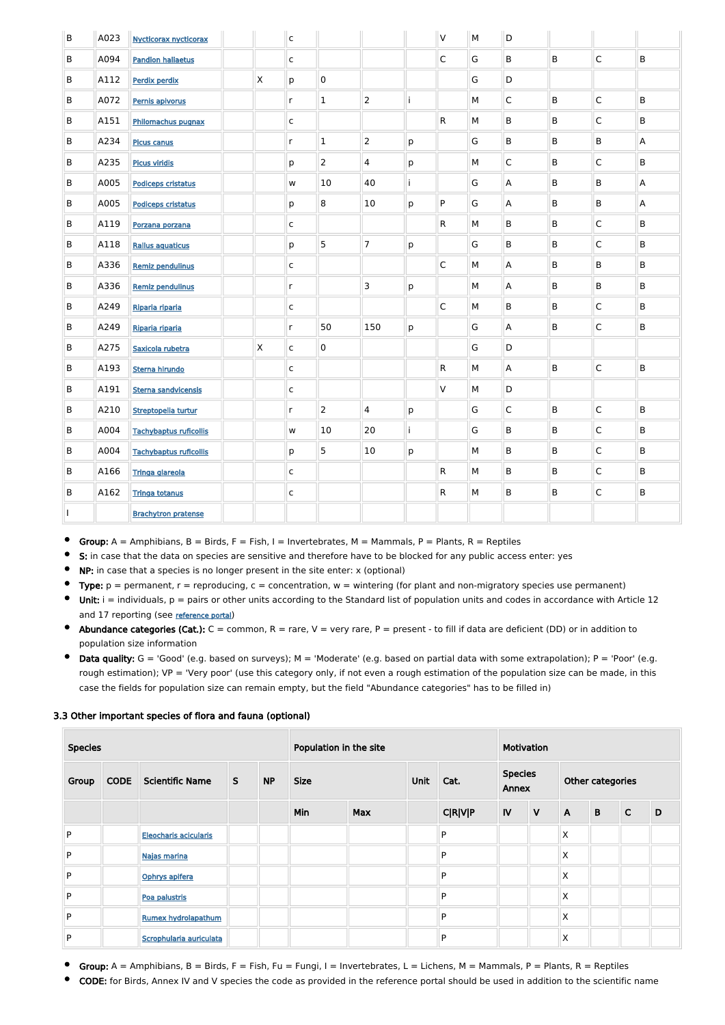| B       | A023 | <b>Nycticorax nycticorax</b>  |              | $\overline{c}$          |                |                |    | V                       | M | D            |         |                         |   |
|---------|------|-------------------------------|--------------|-------------------------|----------------|----------------|----|-------------------------|---|--------------|---------|-------------------------|---|
| B       | A094 | <b>Pandion haliaetus</b>      |              | $\mathsf{C}$            |                |                |    | $\mathsf C$             | G | B            | B       | $\overline{\mathsf{C}}$ | B |
| B       | A112 | Perdix perdix                 | $\mathsf{X}$ | p                       | 0              |                |    |                         | G | D            |         |                         |   |
| B       | A072 | Pernis apivorus               |              | $\mathsf{r}$            | $\mathbf 1$    | $\overline{2}$ | j  |                         | М | $\mathsf{C}$ | B       | $\overline{\mathsf{C}}$ | B |
| B       | A151 | Philomachus pugnax            |              | $\mathsf{C}$            |                |                |    | $\mathsf{R}$            | М | B            | B       | $\overline{\mathsf{C}}$ | B |
| B       | A234 | <b>Picus canus</b>            |              | $\mathsf{r}$            | $\mathbf 1$    | $\overline{2}$ | р  |                         | G | B            | B       | B                       | A |
| B       | A235 | <b>Picus viridis</b>          |              | р                       | $\overline{2}$ | 4              | р  |                         | М | $\mathsf C$  | B       | $\overline{\mathsf{C}}$ | B |
| B       | A005 | <b>Podiceps cristatus</b>     |              | W                       | 10             | 40             | j. |                         | G | Α            | $\sf B$ | B                       | A |
| B       | A005 | <b>Podiceps cristatus</b>     |              | р                       | 8              | 10             | p  | P                       | G | A            | $\sf B$ | B                       | A |
| B       | A119 | Porzana porzana               |              | $\mathsf{C}$            |                |                |    | $\mathsf{R}$            | М | B            | $\sf B$ | $\mathsf C$             | B |
| B       | A118 | <b>Rallus aquaticus</b>       |              | р                       | 5              | $\overline{7}$ | р  |                         | G | B            | $\sf B$ | $\mathsf C$             | B |
| B       | A336 | <b>Remiz pendulinus</b>       |              | $\mathsf{C}$            |                |                |    | $\overline{C}$          | M | A            | B       | B                       | B |
| B       | A336 | <b>Remiz pendulinus</b>       |              | $\mathsf{r}$            |                | $\mathsf 3$    | p  |                         | M | A            | B       | B                       | B |
| B       | A249 | Riparia riparia               |              | $\mathsf{C}$            |                |                |    | $\overline{\mathsf{C}}$ | М | B            | $\sf B$ | $\mathsf C$             | B |
| B       | A249 | Riparia riparia               |              | $\mathsf{r}$            | 50             | 150            | р  |                         | G | A            | $\sf B$ | $\mathsf C$             | B |
| B       | A275 | Saxicola rubetra              | $\mathsf{X}$ | $\mathsf{C}$            | $\pmb{0}$      |                |    |                         | G | D            |         |                         |   |
| B       | A193 | Sterna hirundo                |              | $\overline{\mathsf{c}}$ |                |                |    | ${\sf R}$               | М | A            | $\sf B$ | $\overline{\mathsf{C}}$ | B |
| B       | A191 | <b>Sterna sandvicensis</b>    |              | $\mathsf{C}$            |                |                |    | $\mathsf{V}$            | М | D            |         |                         |   |
| $\sf B$ | A210 | Streptopelia turtur           |              | r                       | $\overline{2}$ | 4              | р  |                         | G | $\mathsf C$  | B       | $\mathsf C$             | B |
| B       | A004 | <b>Tachybaptus ruficollis</b> |              | w                       | 10             | 20             | j  |                         | G | B            | B       | $\overline{\mathsf{C}}$ | B |
| B       | A004 | <b>Tachybaptus ruficollis</b> |              | p                       | 5              | 10             | p  |                         | М | B            | B       | $\overline{\mathsf{C}}$ | B |
| B       | A166 | Tringa glareola               |              | $\overline{\mathsf{c}}$ |                |                |    | ${\sf R}$               | М | B            | B       | $\overline{\mathsf{C}}$ | B |
| B       | A162 | <b>Tringa totanus</b>         |              | $\mathsf{C}$            |                |                |    | ${\sf R}$               | М | $\sf B$      | B       | $\overline{\mathsf{C}}$ | B |
|         |      | <b>Brachytron pratense</b>    |              |                         |                |                |    |                         |   |              |         |                         |   |

Group:  $A =$  Amphibians,  $B =$  Birds,  $F =$  Fish, I = Invertebrates, M = Mammals, P = Plants, R = Reptiles  $\bullet$ 

 $\bullet$ S: in case that the data on species are sensitive and therefore have to be blocked for any public access enter: yes

 $\bullet$ NP: in case that a species is no longer present in the site enter: x (optional)

- $\bullet$ Type:  $p =$  permanent,  $r =$  reproducing,  $c =$  concentration,  $w =$  wintering (for plant and non-migratory species use permanent)
- $\bullet$  Unit: i = individuals,  $p =$  pairs or other units according to the Standard list of population units and codes in accordance with Article 12 and 17 reporting (see [reference portal](http://bd.eionet.europa.eu/activities/Natura_2000/reference_portal))
- Abundance categories (Cat.):  $C =$  common,  $R =$  rare,  $V =$  very rare,  $P =$  present to fill if data are deficient (DD) or in addition to population size information
- $\bullet$  Data quality:  $G = 'Good'$  (e.g. based on surveys);  $M = 'Modern'$  (e.g. based on partial data with some extrapolation);  $P = 'Poor'$  (e.g. rough estimation); VP = 'Very poor' (use this category only, if not even a rough estimation of the population size can be made, in this case the fields for population size can remain empty, but the field "Abundance categories" has to be filled in)

- Group:  $A =$  Amphibians,  $B =$  Birds,  $F =$  Fish,  $Fu =$  Fungi,  $I =$  Invertebrates,  $L =$  Lichens,  $M =$  Mammals,  $P =$  Plants,  $R =$  Reptiles  $\bullet$
- CODE: for Birds, Annex IV and V species the code as provided in the reference portal should be used in addition to the scientific name

#### 3.3 Other important species of flora and fauna (optional)

| <b>Species</b> |             |                            |              |           | Population in the site |            |      |                |                                 | <b>Motivation</b> |                  |             |              |   |  |
|----------------|-------------|----------------------------|--------------|-----------|------------------------|------------|------|----------------|---------------------------------|-------------------|------------------|-------------|--------------|---|--|
| Group          | <b>CODE</b> | <b>Scientific Name</b>     | $\mathsf{S}$ | <b>NP</b> | <b>Size</b>            |            | Unit |                | <b>Species</b><br>Cat.<br>Annex |                   | Other categories |             |              |   |  |
|                |             |                            |              |           | Min                    | <b>Max</b> |      | <b>C R V P</b> | IV                              | $\mathsf{V}$      | $\mathsf{A}$     | $\mathbf B$ | $\mathsf{C}$ | D |  |
| P              |             | Eleocharis acicularis      |              |           |                        |            |      | P              |                                 |                   | X                |             |              |   |  |
| P              |             | Najas marina               |              |           |                        |            |      | P              |                                 |                   | X                |             |              |   |  |
| P              |             | Ophrys apifera             |              |           |                        |            |      | P              |                                 |                   | X                |             |              |   |  |
| P              |             | Poa palustris              |              |           |                        |            |      | P              |                                 |                   | X                |             |              |   |  |
| P              |             | <b>Rumex hydrolapathum</b> |              |           |                        |            |      | P              |                                 |                   | X                |             |              |   |  |
| P              |             | Scrophularia auriculata    |              |           |                        |            |      | P              |                                 |                   | X                |             |              |   |  |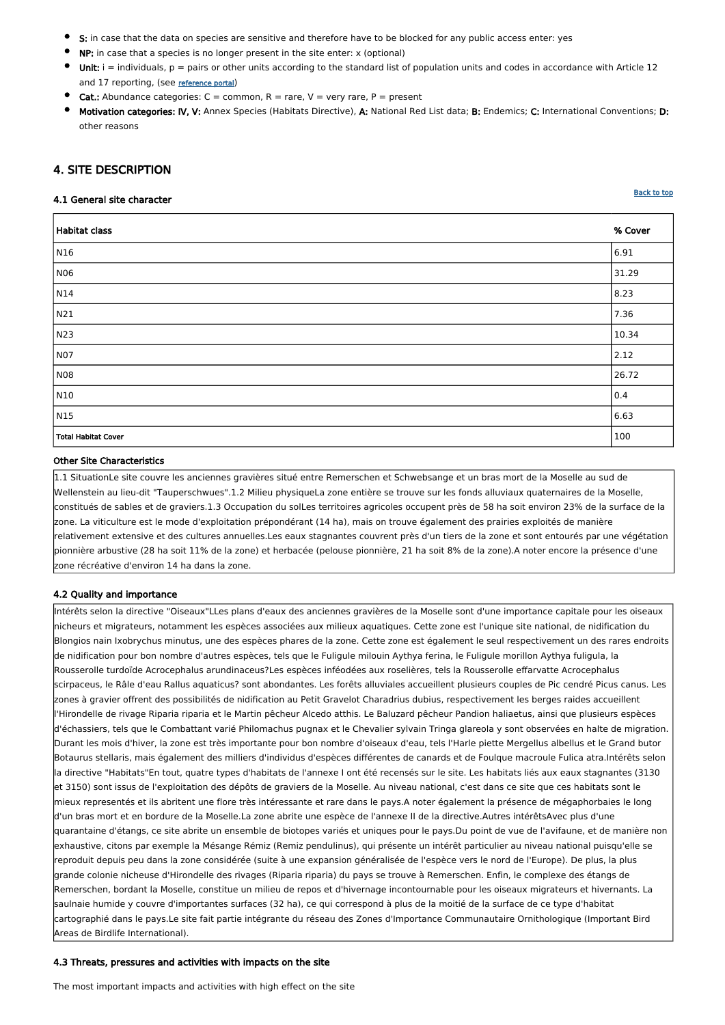- S: in case that the data on species are sensitive and therefore have to be blocked for any public access enter: yes
- NP: in case that a species is no longer present in the site enter: x (optional)
- Unit:  $i =$  individuals,  $p =$  pairs or other units according to the standard list of population units and codes in accordance with Article 12 and 17 reporting, (see [reference portal](http://bd.eionet.europa.eu/activities/Natura_2000/reference_portal))
- **Cat.:** Abundance categories:  $C =$  common,  $R =$  rare,  $V =$  very rare,  $P =$  present
- Motivation categories: IV, V: Annex Species (Habitats Directive), A: National Red List data; B: Endemics; C: International Conventions; D: other reasons

## <span id="page-4-0"></span>4. SITE DESCRIPTION

#### 4.1 General site character

**[Back to top](#page-0-0)** 

| Habitat class       | % Cover |
|---------------------|---------|
| $\vert$ N16         | 6.91    |
| N06                 | 31.29   |
| $\vert$ N14         | 8.23    |
| N21                 | 7.36    |
| N23                 | 10.34   |
| NO7                 | 2.12    |
| N08                 | 26.72   |
| $\vert$ N10         | 0.4     |
| $\sqrt{N15}$        | 6.63    |
| Total Habitat Cover | 100     |

#### Other Site Characteristics

1.1 SituationLe site couvre les anciennes gravières situé entre Remerschen et Schwebsange et un bras mort de la Moselle au sud de Wellenstein au lieu-dit "Tauperschwues".1.2 Milieu physiqueLa zone entière se trouve sur les fonds alluviaux quaternaires de la Moselle, constitués de sables et de graviers.1.3 Occupation du solLes territoires agricoles occupent près de 58 ha soit environ 23% de la surface de la zone. La viticulture est le mode d'exploitation prépondérant (14 ha), mais on trouve également des prairies exploités de manière relativement extensive et des cultures annuelles.Les eaux stagnantes couvrent près d'un tiers de la zone et sont entourés par une végétation pionnière arbustive (28 ha soit 11% de la zone) et herbacée (pelouse pionnière, 21 ha soit 8% de la zone).A noter encore la présence d'une zone récréative d'environ 14 ha dans la zone.

#### 4.2 Quality and importance

Intérêts selon la directive "Oiseaux"LLes plans d'eaux des anciennes gravières de la Moselle sont d'une importance capitale pour les oiseaux nicheurs et migrateurs, notamment les espèces associées aux milieux aquatiques. Cette zone est l'unique site national, de nidification du Blongios nain Ixobrychus minutus, une des espèces phares de la zone. Cette zone est également le seul respectivement un des rares endroits de nidification pour bon nombre d'autres espèces, tels que le Fuligule milouin Aythya ferina, le Fuligule morillon Aythya fuligula, la Rousserolle turdoïde Acrocephalus arundinaceus?Les espèces inféodées aux roselières, tels la Rousserolle effarvatte Acrocephalus scirpaceus, le Râle d'eau Rallus aquaticus? sont abondantes. Les forêts alluviales accueillent plusieurs couples de Pic cendré Picus canus. Les zones à gravier offrent des possibilités de nidification au Petit Gravelot Charadrius dubius, respectivement les berges raides accueillent l'Hirondelle de rivage Riparia riparia et le Martin pêcheur Alcedo atthis. Le Baluzard pêcheur Pandion haliaetus, ainsi que plusieurs espèces d'échassiers, tels que le Combattant varié Philomachus pugnax et le Chevalier sylvain Tringa glareola y sont observées en halte de migration. Durant les mois d'hiver, la zone est très importante pour bon nombre d'oiseaux d'eau, tels l'Harle piette Mergellus albellus et le Grand butor Botaurus stellaris, mais également des milliers d'individus d'espèces différentes de canards et de Foulque macroule Fulica atra.Intérêts selon a directive "Habitats"En tout, quatre types d'habitats de l'annexe I ont été recensés sur le site. Les habitats liés aux eaux stagnantes (3130 et 3150) sont issus de l'exploitation des dépôts de graviers de la Moselle. Au niveau national, c'est dans ce site que ces habitats sont le mieux representés et ils abritent une flore très intéressante et rare dans le pays.A noter également la présence de mégaphorbaies le long d'un bras mort et en bordure de la Moselle.La zone abrite une espèce de l'annexe II de la directive.Autres intérêtsAvec plus d'une quarantaine d'étangs, ce site abrite un ensemble de biotopes variés et uniques pour le pays.Du point de vue de l'avifaune, et de manière non exhaustive, citons par exemple la Mésange Rémiz (Remiz pendulinus), qui présente un intérêt particulier au niveau national puisqu'elle se reproduit depuis peu dans la zone considérée (suite à une expansion généralisée de l'espèce vers le nord de l'Europe). De plus, la plus grande colonie nicheuse d'Hirondelle des rivages (Riparia riparia) du pays se trouve à Remerschen. Enfin, le complexe des étangs de Remerschen, bordant la Moselle, constitue un milieu de repos et d'hivernage incontournable pour les oiseaux migrateurs et hivernants. La saulnaie humide y couvre d'importantes surfaces (32 ha), ce qui correspond à plus de la moitié de la surface de ce type d'habitat cartographié dans le pays.Le site fait partie intégrante du réseau des Zones d'Importance Communautaire Ornithologique (Important Bird Areas de Birdlife International).

#### 4.3 Threats, pressures and activities with impacts on the site

The most important impacts and activities with high effect on the site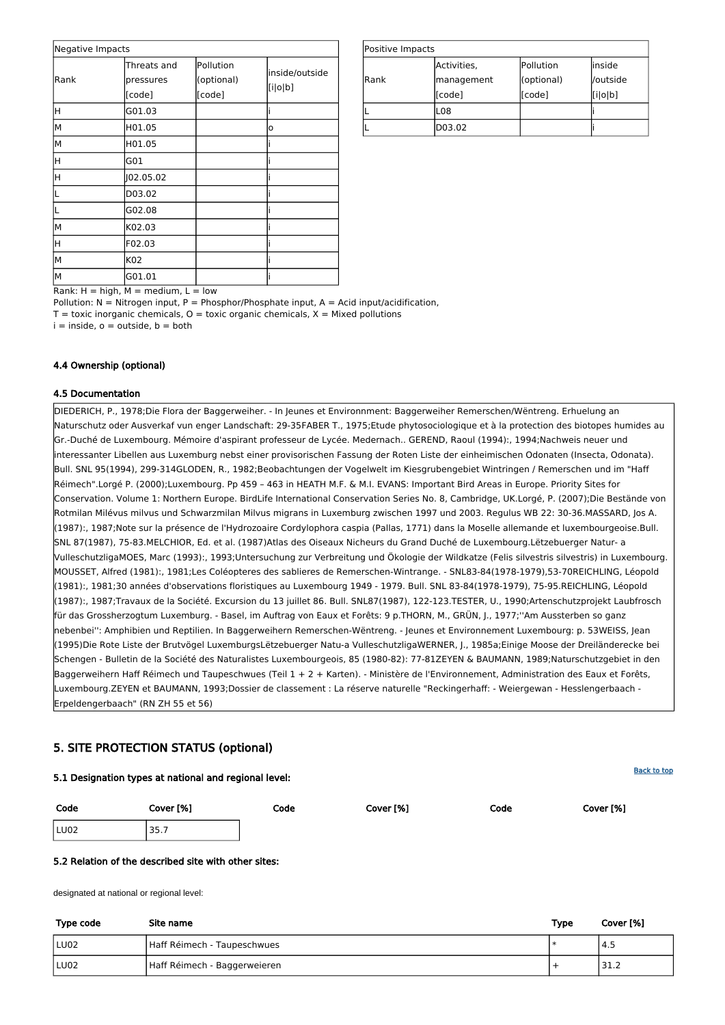| Positive Impacts |             |            |          |
|------------------|-------------|------------|----------|
|                  | Activities, | Pollution  | linside  |
| Rank             | management  | (optional) | /outside |
|                  | [code]      | [code]     | [i o b]  |
|                  | L08         |            |          |
|                  | D03.02      |            |          |

Rank:  $H = high$ ,  $M = medium$ ,  $L = low$ 

Pollution:  $N =$  Nitrogen input, P = Phosphor/Phosphate input, A = Acid input/acidification,

 $T =$  toxic inorganic chemicals,  $O =$  toxic organic chemicals,  $X =$  Mixed pollutions

 $i =$  inside,  $o =$  outside,  $b =$  both

| Negative Impacts |                                    |                                   |                           |
|------------------|------------------------------------|-----------------------------------|---------------------------|
| Rank             | Threats and<br>pressures<br>[code] | Pollution<br>(optional)<br>[code] | inside/outside<br>[i o b] |
| Η                | G01.03                             |                                   |                           |
| M                | H01.05                             |                                   | o                         |
| M                | H01.05                             |                                   |                           |
| Η                | G01                                |                                   |                           |
| Η                | 102.05.02                          |                                   |                           |
|                  | D03.02                             |                                   |                           |
|                  | G02.08                             |                                   |                           |
| M                | K02.03                             |                                   |                           |
| Η                | F02.03                             |                                   |                           |
| M                | K02                                |                                   |                           |
| lм               | G01.01                             |                                   |                           |

#### 4.4 Ownership (optional)

#### 4.5 Documentation

DIEDERICH, P., 1978;Die Flora der Baggerweiher. - In Jeunes et Environnment: Baggerweiher Remerschen/Wëntreng. Erhuelung an Naturschutz oder Ausverkaf vun enger Landschaft: 29-35FABER T., 1975;Etude phytosociologique et à la protection des biotopes humides au Gr.-Duché de Luxembourg. Mémoire d'aspirant professeur de Lycée. Medernach.. GEREND, Raoul (1994):, 1994;Nachweis neuer und interessanter Libellen aus Luxemburg nebst einer provisorischen Fassung der Roten Liste der einheimischen Odonaten (Insecta, Odonata). Bull. SNL 95(1994), 299-314GLODEN, R., 1982;Beobachtungen der Vogelwelt im Kiesgrubengebiet Wintringen / Remerschen und im "Haff Réimech".Lorgé P. (2000);Luxembourg. Pp 459 – 463 in HEATH M.F. & M.I. EVANS: Important Bird Areas in Europe. Priority Sites for Conservation. Volume 1: Northern Europe. BirdLife International Conservation Series No. 8, Cambridge, UK.Lorgé, P. (2007);Die Bestände von Rotmilan Milévus milvus und Schwarzmilan Milvus migrans in Luxemburg zwischen 1997 und 2003. Regulus WB 22: 30-36.MASSARD, Jos A. (1987):, 1987;Note sur la présence de l'Hydrozoaire Cordylophora caspia (Pallas, 1771) dans la Moselle allemande et luxembourgeoise.Bull. SNL 87(1987), 75-83.MELCHIOR, Ed. et al. (1987)Atlas des Oiseaux Nicheurs du Grand Duché de Luxembourg.Lëtzebuerger Natur- a VulleschutzligaMOES, Marc (1993):, 1993;Untersuchung zur Verbreitung und Ökologie der Wildkatze (Felis silvestris silvestris) in Luxembourg. MOUSSET, Alfred (1981):, 1981;Les Coléopteres des sablieres de Remerschen-Wintrange. - SNL83-84(1978-1979),53-70REICHLING, Léopold (1981):, 1981;30 années d'observations floristiques au Luxembourg 1949 - 1979. Bull. SNL 83-84(1978-1979), 75-95.REICHLING, Léopold (1987):, 1987;Travaux de la Société. Excursion du 13 juillet 86. Bull. SNL87(1987), 122-123.TESTER, U., 1990;Artenschutzprojekt Laubfrosch für das Grossherzogtum Luxemburg. - Basel, im Auftrag von Eaux et Forêts: 9 p.THORN, M., GRÜN, J., 1977;''Am Aussterben so ganz nebenbei'': Amphibien und Reptilien. In Baggerweihern Remerschen-Wëntreng. - Jeunes et Environnement Luxembourg: p. 53WEISS, Jean (1995)Die Rote Liste der Brutvögel LuxemburgsLëtzebuerger Natu-a VulleschutzligaWERNER, J., 1985a;Einige Moose der Dreiländerecke bei Schengen - Bulletin de la Société des Naturalistes Luxembourgeois, 85 (1980-82): 77-81ZEYEN & BAUMANN, 1989;Naturschutzgebiet in den Baggerweihern Haff Réimech und Taupeschwues (Teil 1 + 2 + Karten). - Ministère de l'Environnement, Administration des Eaux et Forêts, Luxembourg.ZEYEN et BAUMANN, 1993;Dossier de classement : La réserve naturelle "Reckingerhaff: - Weiergewan - Hesslengerbaach - Erpeldengerbaach" (RN ZH 55 et 56)

## <span id="page-5-0"></span>5. SITE PROTECTION STATUS (optional)

5.1 Designation types at national and regional level:

| Code | Cover [%] | Code | Cover [%] | Code | Cover [%] |
|------|-----------|------|-----------|------|-----------|
| LU02 | 35.7      |      |           |      |           |

#### 5.2 Relation of the described site with other sites:

designated at national or regional level:

| Type code | Site name                    | Type | Cover [%] |
|-----------|------------------------------|------|-----------|
| LU02      | Haff Réimech - Taupeschwues  |      | ' 4.5     |
| LU02      | Haff Réimech - Baggerweieren |      | 31.2      |